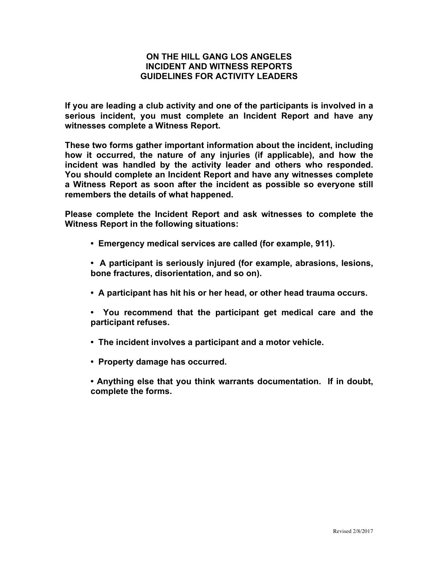## **ON THE HILL GANG LOS ANGELES INCIDENT AND WITNESS REPORTS GUIDELINES FOR ACTIVITY LEADERS**

**If you are leading a club activity and one of the participants is involved in a serious incident, you must complete an Incident Report and have any witnesses complete a Witness Report.**

**These two forms gather important information about the incident, including how it occurred, the nature of any injuries (if applicable), and how the incident was handled by the activity leader and others who responded. You should complete an Incident Report and have any witnesses complete a Witness Report as soon after the incident as possible so everyone still remembers the details of what happened.**

**Please complete the Incident Report and ask witnesses to complete the Witness Report in the following situations:**

- **Emergency medical services are called (for example, 911).**
- **A participant is seriously injured (for example, abrasions, lesions, bone fractures, disorientation, and so on).**
- **A participant has hit his or her head, or other head trauma occurs.**
- **You recommend that the participant get medical care and the participant refuses.**
- **The incident involves a participant and a motor vehicle.**
- **Property damage has occurred.**
- **Anything else that you think warrants documentation. If in doubt, complete the forms.**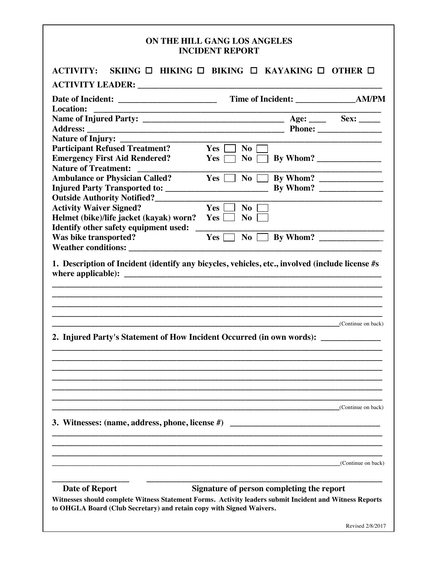## **ON THE HILL GANG LOS ANGELES INCIDENT REPORT**

| <b>Location:</b><br>the control of the control of the control of the control of the control of the control of the control of the control of the control of the control of the control of the control of the control of the control of the control |                                  |                    |
|---------------------------------------------------------------------------------------------------------------------------------------------------------------------------------------------------------------------------------------------------|----------------------------------|--------------------|
|                                                                                                                                                                                                                                                   |                                  |                    |
|                                                                                                                                                                                                                                                   |                                  |                    |
|                                                                                                                                                                                                                                                   |                                  |                    |
| <b>Participant Refused Treatment?</b>                                                                                                                                                                                                             | $Yes$ $\Box$<br>$\overline{N_0}$ |                    |
| <b>Emergency First Aid Rendered?</b>                                                                                                                                                                                                              | $\overline{N}$ o<br>$Yes \Box$   |                    |
| <b>Nature of Treatment:</b>                                                                                                                                                                                                                       |                                  |                    |
| <b>Ambulance or Physician Called?</b>                                                                                                                                                                                                             | $Yes \Box$<br>$\overline{N_0}$   |                    |
|                                                                                                                                                                                                                                                   |                                  |                    |
| <b>Outside Authority Notified?</b>                                                                                                                                                                                                                |                                  |                    |
| <b>Activity Waiver Signed?</b>                                                                                                                                                                                                                    | Yes  <br>$\bf No$                |                    |
| Helmet (bike)/life jacket (kayak) worn?<br>Identify other safety equipment used:                                                                                                                                                                  | <b>No</b><br>Yes                 |                    |
| Was bike transported?                                                                                                                                                                                                                             | <b>No</b><br>Yes                 |                    |
| <b>Weather conditions:</b> Weather conditions:                                                                                                                                                                                                    |                                  |                    |
|                                                                                                                                                                                                                                                   |                                  |                    |
| 1. Description of Incident (identify any bicycles, vehicles, etc., involved (include license #s<br>2. Injured Party's Statement of How Incident Occurred (in own words): __________                                                               | (Continue on back)               |                    |
|                                                                                                                                                                                                                                                   |                                  |                    |
|                                                                                                                                                                                                                                                   |                                  |                    |
|                                                                                                                                                                                                                                                   |                                  | (Continue on back) |
| 3. Witnesses: (name, address, phone, license #)                                                                                                                                                                                                   |                                  |                    |
|                                                                                                                                                                                                                                                   |                                  |                    |
|                                                                                                                                                                                                                                                   |                                  | (Continue on back) |